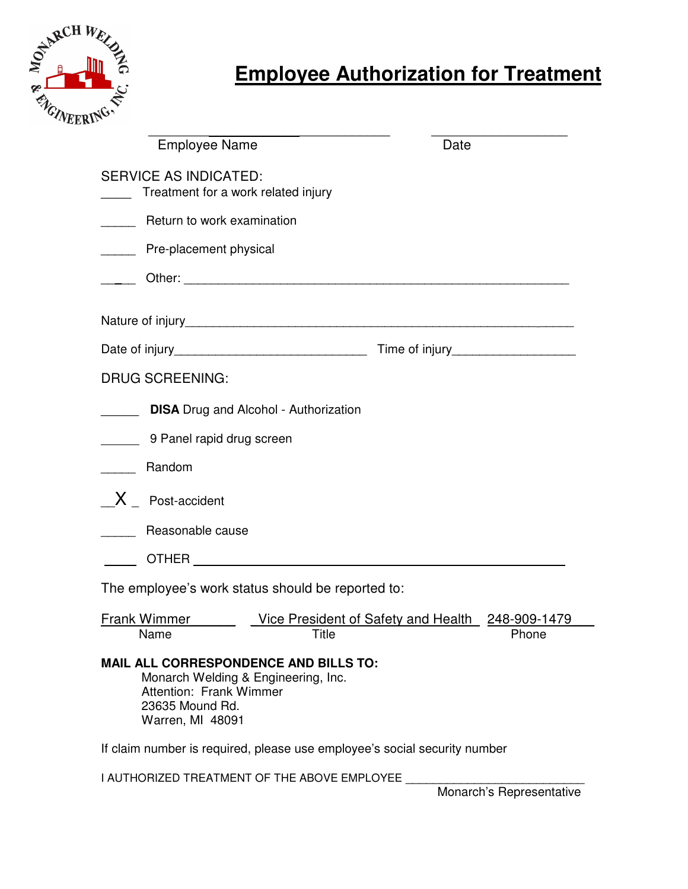

| <b>Employee Name</b>                                                                                    | Date                                                                      |       |
|---------------------------------------------------------------------------------------------------------|---------------------------------------------------------------------------|-------|
| <b>SERVICE AS INDICATED:</b><br>Treatment for a work related injury                                     |                                                                           |       |
| Return to work examination                                                                              |                                                                           |       |
| Pre-placement physical<br>$\overline{\phantom{a}}$                                                      |                                                                           |       |
|                                                                                                         |                                                                           |       |
|                                                                                                         |                                                                           |       |
|                                                                                                         |                                                                           |       |
| <b>DRUG SCREENING:</b>                                                                                  |                                                                           |       |
|                                                                                                         | <b>DISA</b> Drug and Alcohol - Authorization                              |       |
| 9 Panel rapid drug screen                                                                               |                                                                           |       |
| Random                                                                                                  |                                                                           |       |
| $X_{\text{}}$ Post-accident                                                                             |                                                                           |       |
| Reasonable cause                                                                                        |                                                                           |       |
|                                                                                                         |                                                                           |       |
|                                                                                                         | The employee's work status should be reported to:                         |       |
| <b>Frank Wimmer</b><br>Name                                                                             | Vice President of Safety and Health 248-909-1479<br><b>Title</b>          | Phone |
| MAIL ALL CORRESPONDENCE AND BILLS TO:<br>Attention: Frank Wimmer<br>23635 Mound Rd.<br>Warren, MI 48091 | Monarch Welding & Engineering, Inc.                                       |       |
|                                                                                                         | If claim number is required, please use employee's social security number |       |
|                                                                                                         | I AUTHORIZED TREATMENT OF THE ABOVE EMPLOYEE                              |       |

Monarch's Representative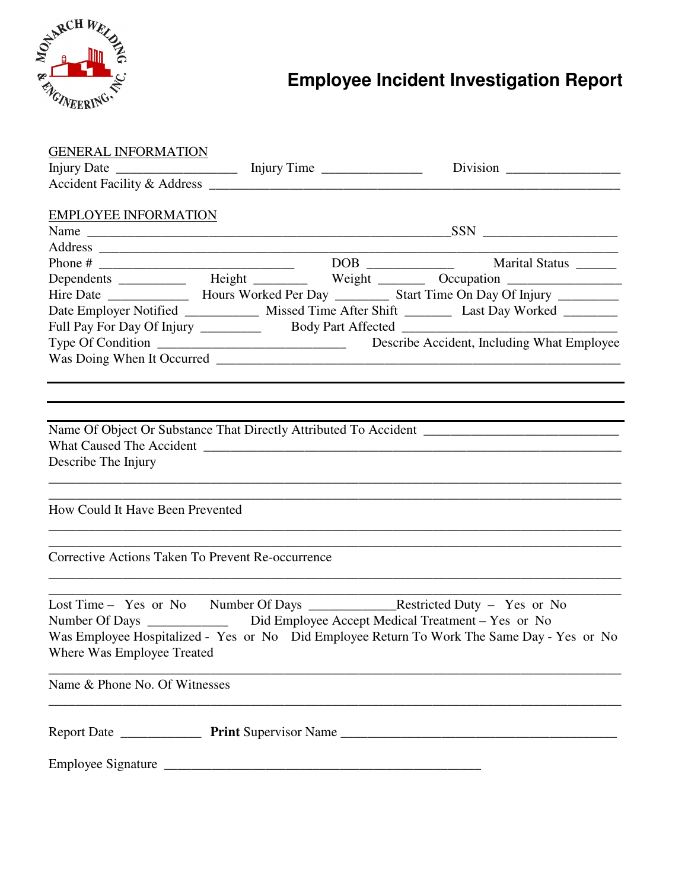

## **Employee Incident Investigation Report**

| <b>GENERAL INFORMATION</b>                                                       |                                                                                                       |
|----------------------------------------------------------------------------------|-------------------------------------------------------------------------------------------------------|
|                                                                                  |                                                                                                       |
|                                                                                  |                                                                                                       |
|                                                                                  |                                                                                                       |
| <b>EMPLOYEE INFORMATION</b>                                                      |                                                                                                       |
|                                                                                  |                                                                                                       |
|                                                                                  |                                                                                                       |
|                                                                                  |                                                                                                       |
|                                                                                  | Dependents ___________ Height ________ Weight _______ Occupation _______________                      |
|                                                                                  | Hire Date ___________________ Hours Worked Per Day ____________ Start Time On Day Of Injury _________ |
|                                                                                  | Date Employer Notified ______________ Missed Time After Shift __________ Last Day Worked ________     |
|                                                                                  | Full Pay For Day Of Injury _____________ Body Part Affected _____________________                     |
|                                                                                  |                                                                                                       |
|                                                                                  |                                                                                                       |
|                                                                                  |                                                                                                       |
|                                                                                  |                                                                                                       |
|                                                                                  |                                                                                                       |
|                                                                                  |                                                                                                       |
|                                                                                  |                                                                                                       |
| Describe The Injury                                                              |                                                                                                       |
|                                                                                  |                                                                                                       |
|                                                                                  |                                                                                                       |
| How Could It Have Been Prevented                                                 |                                                                                                       |
|                                                                                  |                                                                                                       |
|                                                                                  |                                                                                                       |
| Corrective Actions Taken To Prevent Re-occurrence                                |                                                                                                       |
|                                                                                  |                                                                                                       |
|                                                                                  |                                                                                                       |
|                                                                                  |                                                                                                       |
| Number Of Days _______________ Did Employee Accept Medical Treatment - Yes or No |                                                                                                       |
|                                                                                  | Was Employee Hospitalized - Yes or No Did Employee Return To Work The Same Day - Yes or No            |
| Where Was Employee Treated                                                       |                                                                                                       |
|                                                                                  |                                                                                                       |
| Name & Phone No. Of Witnesses                                                    |                                                                                                       |
|                                                                                  |                                                                                                       |
|                                                                                  |                                                                                                       |
|                                                                                  |                                                                                                       |
|                                                                                  |                                                                                                       |
|                                                                                  |                                                                                                       |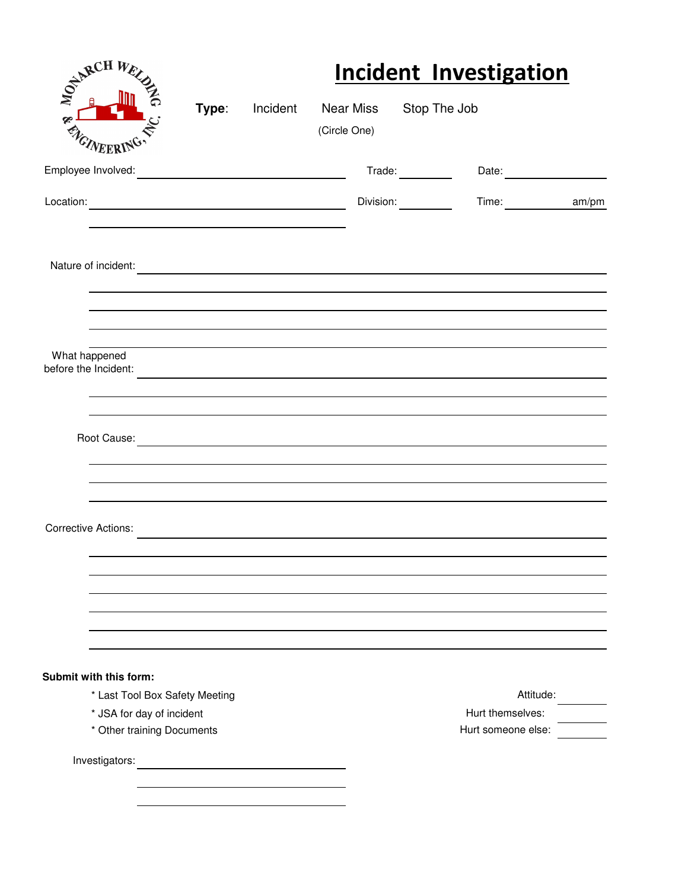| E CANALH We                                                 |       |          |                                                                                                                       | <b>Incident Investigation</b> |  |
|-------------------------------------------------------------|-------|----------|-----------------------------------------------------------------------------------------------------------------------|-------------------------------|--|
| RA<br>VEERI                                                 | Type: | Incident | Near Miss Stop The Job<br>(Circle One)                                                                                |                               |  |
| Employee Involved:                                          |       |          |                                                                                                                       | Trade: 1                      |  |
|                                                             |       |          |                                                                                                                       | Division: 1997<br>Time: am/pm |  |
| Nature of incident:                                         |       |          | <u> 1989 - Andrea State Barbara, amerikan personal di personal dengan personal dengan personal dengan personal de</u> |                               |  |
| What happened<br>before the Incident:                       |       |          |                                                                                                                       |                               |  |
| Root Cause:                                                 |       |          |                                                                                                                       |                               |  |
| <b>Corrective Actions:</b>                                  |       |          |                                                                                                                       |                               |  |
|                                                             |       |          |                                                                                                                       |                               |  |
| Submit with this form:                                      |       |          |                                                                                                                       | Attitude:                     |  |
| * Last Tool Box Safety Meeting<br>* JSA for day of incident |       |          |                                                                                                                       | Hurt themselves:              |  |
| * Other training Documents                                  |       |          |                                                                                                                       | Hurt someone else:            |  |
| Investigators:                                              |       |          |                                                                                                                       |                               |  |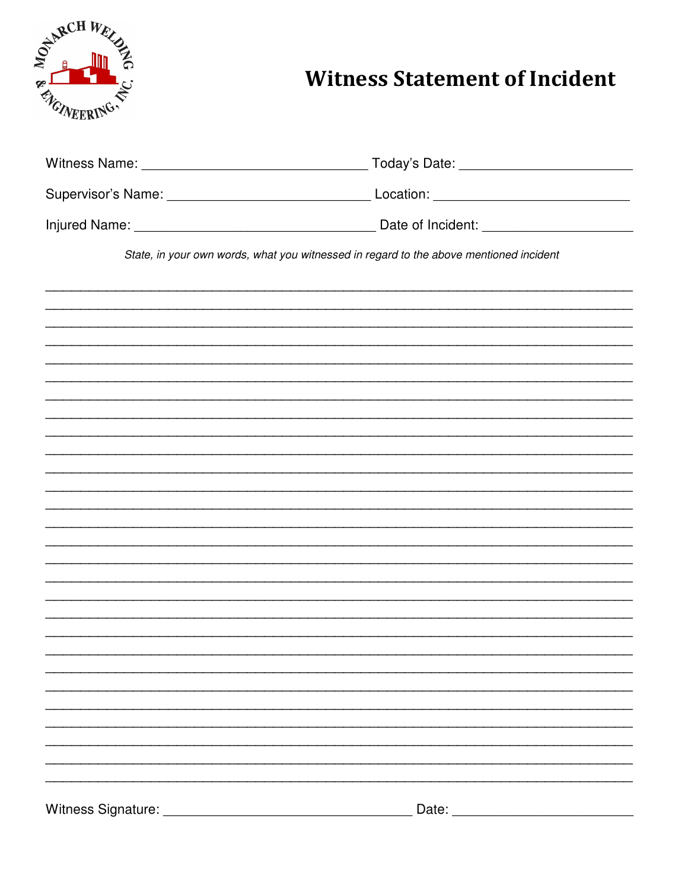

## **Witness Statement of Incident**

| State, in your own words, what you witnessed in regard to the above mentioned incident |                                                                                                                                                                                                                                |
|----------------------------------------------------------------------------------------|--------------------------------------------------------------------------------------------------------------------------------------------------------------------------------------------------------------------------------|
|                                                                                        |                                                                                                                                                                                                                                |
|                                                                                        |                                                                                                                                                                                                                                |
|                                                                                        |                                                                                                                                                                                                                                |
|                                                                                        |                                                                                                                                                                                                                                |
|                                                                                        |                                                                                                                                                                                                                                |
|                                                                                        |                                                                                                                                                                                                                                |
|                                                                                        |                                                                                                                                                                                                                                |
|                                                                                        |                                                                                                                                                                                                                                |
|                                                                                        |                                                                                                                                                                                                                                |
|                                                                                        |                                                                                                                                                                                                                                |
|                                                                                        |                                                                                                                                                                                                                                |
|                                                                                        |                                                                                                                                                                                                                                |
|                                                                                        |                                                                                                                                                                                                                                |
|                                                                                        |                                                                                                                                                                                                                                |
|                                                                                        |                                                                                                                                                                                                                                |
|                                                                                        |                                                                                                                                                                                                                                |
|                                                                                        |                                                                                                                                                                                                                                |
|                                                                                        |                                                                                                                                                                                                                                |
|                                                                                        | Date: the contract of the contract of the contract of the contract of the contract of the contract of the contract of the contract of the contract of the contract of the contract of the contract of the contract of the cont |